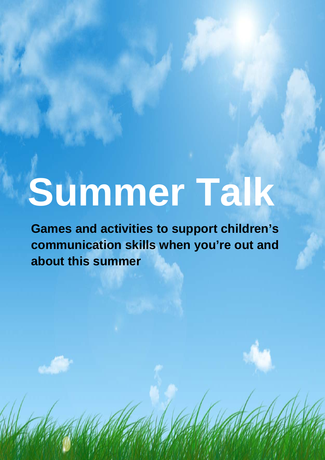# **Summer Talk**

**Games and activities to support children's communication skills when you're out and about this summer**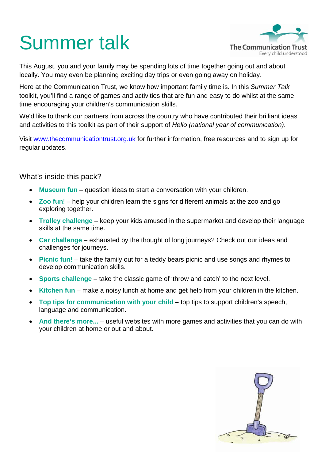# Summer talk



This August, you and your family may be spending lots of time together going out and about locally. You may even be planning exciting day trips or even going away on holiday.

Here at the Communication Trust, we know how important family time is. In this *Summer Talk* toolkit, you'll find a range of games and activities that are fun and easy to do whilst at the same time encouraging your children's communication skills.

We'd like to thank our partners from across the country who have contributed their brilliant ideas and activities to this toolkit as part of their support of *Hello (national year of communication)*.

Visit www.thecommunicationtrust.org.uk for further information, free resources and to sign up for regular updates.

#### What's inside this pack?

- **Museum fun** question ideas to start a conversation with your children.
- **Zoo fun!** help your children learn the signs for different animals at the zoo and go exploring together.
- **Trolley challenge** keep your kids amused in the supermarket and develop their language skills at the same time.
- **Car challenge** exhausted by the thought of long journeys? Check out our ideas and challenges for journeys.
- **Picnic fun!** take the family out for a teddy bears picnic and use songs and rhymes to develop communication skills.
- **Sports challenge** take the classic game of 'throw and catch' to the next level.
- **Kitchen fun** make a noisy lunch at home and get help from your children in the kitchen.
- **Top tips for communication with your child –** top tips to support children's speech, language and communication.
- **And there's more...** useful websites with more games and activities that you can do with your children at home or out and about.

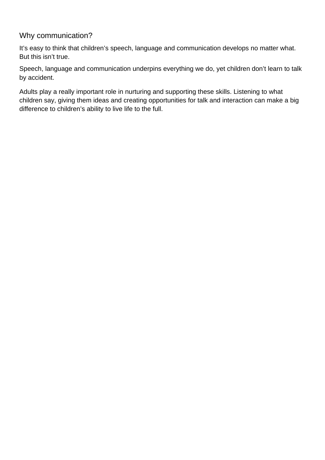#### Why communication?

It's easy to think that children's speech, language and communication develops no matter what. But this isn't true.

Speech, language and communication underpins everything we do, yet children don't learn to talk by accident.

Adults play a really important role in nurturing and supporting these skills. Listening to what children say, giving them ideas and creating opportunities for talk and interaction can make a big difference to children's ability to live life to the full.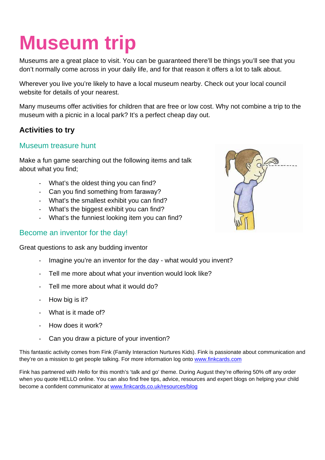### **Museum trip**

Museums are a great place to visit. You can be guaranteed there'll be things you'll see that you don't normally come across in your daily life, and for that reason it offers a lot to talk about.

Wherever you live you're likely to have a local museum nearby. Check out your local council website for details of your nearest.

Many museums offer activities for children that are free or low cost. Why not combine a trip to the museum with a picnic in a local park? It's a perfect cheap day out.

#### **Activities to try**

#### Museum treasure hunt

Make a fun game searching out the following items and talk about what you find;

- What's the oldest thing you can find?
- Can you find something from faraway?
- What's the smallest exhibit you can find?
- What's the biggest exhibit you can find?
- What's the funniest looking item you can find?

#### Become an inventor for the day!

Great questions to ask any budding inventor

- Imagine you're an inventor for the day what would you invent?
- Tell me more about what your invention would look like?
- Tell me more about what it would do?
- How big is it?
- What is it made of?
- How does it work?
- Can you draw a picture of your invention?

This fantastic activity comes from Fink (Family Interaction Nurtures Kids). Fink is passionate about communication and they're on a mission to get people talking. For more information log onto www.finkcards.com

Fink has partnered with *Hello* for this month's 'talk and go' theme. During August they're offering 50% off any order when you quote HELLO online. You can also find free tips, advice, resources and expert blogs on helping your child become a confident communicator at www.finkcards.co.uk/resources/blog

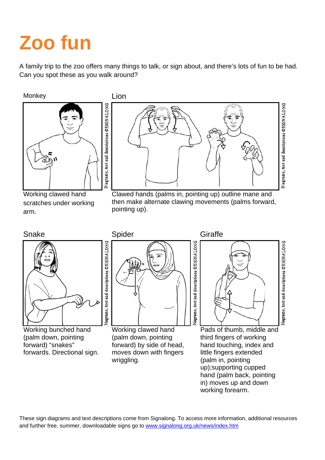# **Zoo fun**

A family trip to the zoo offers many things to talk, or sign about, and there's lots of fun to be had. Can you spot these as you walk around?

Monkey **Lion** 



Working clawed hand scratches under working arm.



 Clawed hands (palms in, pointing up) outline mane and then make alternate clawing movements (palms forward, pointing up).





Working bunched hand (palm down, pointing forward) "snakes" forwards. Directional sign.



 Working clawed hand (palm down, pointing forward) by side of head, moves down with fingers wriggling.

Snake Spider Spider Giraffe



 Pads of thumb, middle and third fingers of working hand touching, index and little fingers extended (palm in, pointing up);supporting cupped hand (palm back, pointing in) moves up and down working forearm.

These sign diagrams and text descriptions come from Signalong. To access more information, additional resources and further free, summer, downloadable signs go to www.signalong.org.uk/news/index.htm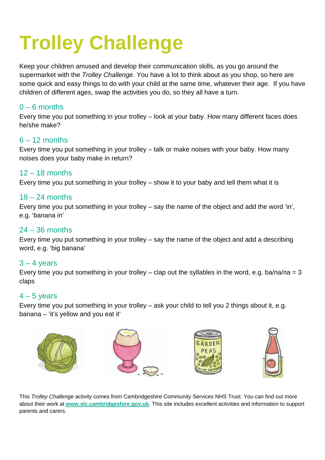# **Trolley Challenge**

Keep your children amused and develop their communication skills, as you go around the supermarket with the *Trolley Challenge*. You have a lot to think about as you shop, so here are some quick and easy things to do with your child at the same time, whatever their age. If you have children of different ages, swap the activities you do, so they all have a turn.

#### $0 - 6$  months

Every time you put something in your trolley – look at your baby. How many different faces does he/she make?

#### $6 - 12$  months

Every time you put something in your trolley – talk or make noises with your baby. How many noises does your baby make in return?

#### 12 – 18 months

Every time you put something in your trolley – show it to your baby and tell them what it is

#### 18 – 24 months

Every time you put something in your trolley – say the name of the object and add the word 'in', e.g. 'banana in'

#### 24 – 36 months

Every time you put something in your trolley – say the name of the object and add a describing word, e.g. 'big banana'

#### $3 - 4$  years

Every time you put something in your trolley – clap out the syllables in the word, e.g. ba/na/na = 3 claps

#### $4 - 5$  years

Every time you put something in your trolley – ask your child to tell you 2 things about it, e.g. banana – 'it's yellow and you eat it'



This *Trolley Challenge* activity comes from Cambridgeshire Community Services NHS Trust. You can find out more about their work at **www.slc.cambridgeshire.gov.uk***.* This site includes excellent activities and information to support parents and carers.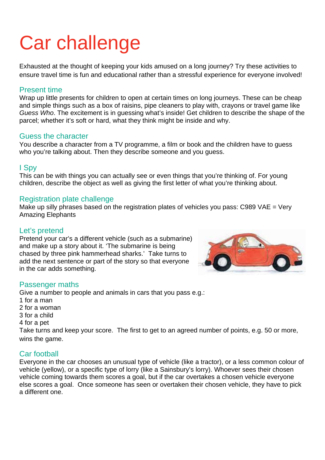# Car challenge

Exhausted at the thought of keeping your kids amused on a long journey? Try these activities to ensure travel time is fun and educational rather than a stressful experience for everyone involved!

#### Present time

Wrap up little presents for children to open at certain times on long journeys. These can be cheap and simple things such as a box of raisins, pipe cleaners to play with, crayons or travel game like *Guess Who*. The excitement is in guessing what's inside! Get children to describe the shape of the parcel; whether it's soft or hard, what they think might be inside and why.

#### Guess the character

You describe a character from a TV programme, a film or book and the children have to guess who you're talking about. Then they describe someone and you guess.

#### I Spy

This can be with things you can actually see or even things that you're thinking of. For young children, describe the object as well as giving the first letter of what you're thinking about.

#### Registration plate challenge

Make up silly phrases based on the registration plates of vehicles you pass: C989 VAE = Very Amazing Elephants

#### Let's pretend

Pretend your car's a different vehicle (such as a submarine) and make up a story about it. 'The submarine is being chased by three pink hammerhead sharks.' Take turns to add the next sentence or part of the story so that everyone in the car adds something.

#### Passenger maths

Give a number to people and animals in cars that you pass e.g.: 1 for a man 2 for a woman 3 for a child 4 for a pet Take turns and keep your score. The first to get to an agreed number of points, e.g. 50 or more, wins the game.

#### Car football

Everyone in the car chooses an unusual type of vehicle (like a tractor), or a less common colour of vehicle (yellow), or a specific type of lorry (like a Sainsbury's lorry). Whoever sees their chosen vehicle coming towards them scores a goal, but if the car overtakes a chosen vehicle everyone else scores a goal. Once someone has seen or overtaken their chosen vehicle, they have to pick a different one.

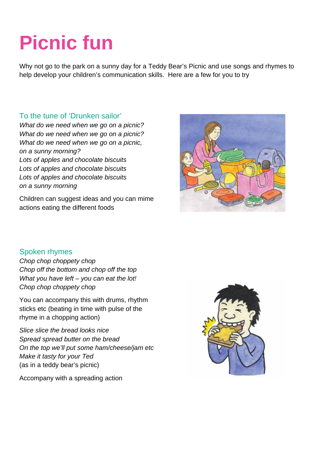# **Picnic fun**

Why not go to the park on a sunny day for a Teddy Bear's Picnic and use songs and rhymes to help develop your children's communication skills. Here are a few for you to try

#### To the tune of 'Drunken sailor'

*What do we need when we go on a picnic? What do we need when we go on a picnic? What do we need when we go on a picnic, on a sunny morning? Lots of apples and chocolate biscuits Lots of apples and chocolate biscuits Lots of apples and chocolate biscuits on a sunny morning* 

Children can suggest ideas and you can mime actions eating the different foods



#### Spoken rhymes

*Chop chop choppety chop Chop off the bottom and chop off the top What you have left – you can eat the lot! Chop chop choppety chop* 

You can accompany this with drums, rhythm sticks etc (beating in time with pulse of the rhyme in a chopping action)

*Slice slice the bread looks nice Spread spread butter on the bread On the top we'll put some ham/cheese/jam etc Make it tasty for your Ted*  (as in a teddy bear's picnic)



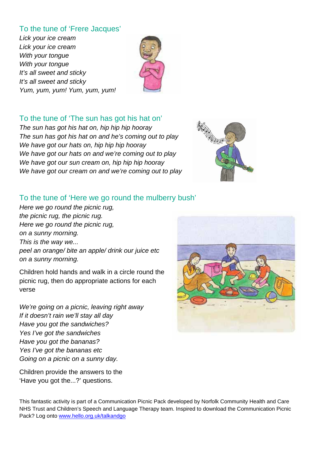#### To the tune of 'Frere Jacques'

*Lick your ice cream Lick your ice cream With your tongue With your tongue It's all sweet and sticky It's all sweet and sticky Yum, yum, yum! Yum, yum, yum!* 



#### To the tune of 'The sun has got his hat on'

*The sun has got his hat on, hip hip hip hooray The sun has got his hat on and he's coming out to play We have got our hats on, hip hip hip hooray We have got our hats on and we're coming out to play We have got our sun cream on, hip hip hip hooray We have got our cream on and we're coming out to play* 



#### To the tune of 'Here we go round the mulberry bush'

*Here we go round the picnic rug, the picnic rug, the picnic rug. Here we go round the picnic rug, on a sunny morning. This is the way we... peel an orange/ bite an apple/ drink our juice etc on a sunny morning.* 

Children hold hands and walk in a circle round the picnic rug, then do appropriate actions for each verse

*We're going on a picnic, leaving right away If it doesn't rain we'll stay all day Have you got the sandwiches? Yes I've got the sandwiches Have you got the bananas? Yes I've got the bananas etc Going on a picnic on a sunny day.* 

Children provide the answers to the 'Have you got the...?' questions.



This fantastic activity is part of a Communication Picnic Pack developed by Norfolk Community Health and Care NHS Trust and Children's Speech and Language Therapy team. Inspired to download the Communication Picnic Pack? Log onto www.hello.org.uk/talkandgo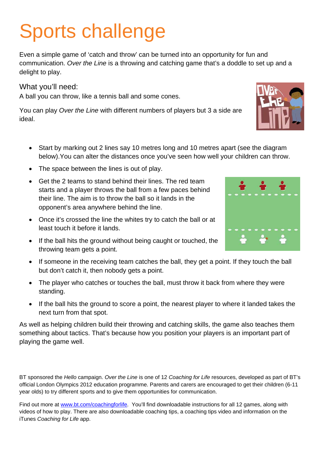# Sports challenge

Even a simple game of 'catch and throw' can be turned into an opportunity for fun and communication. *Over the Line* is a throwing and catching game that's a doddle to set up and a delight to play.

What you'll need:

A ball you can throw, like a tennis ball and some cones.

You can play *Over the Line* with different numbers of players but 3 a side are ideal.

- Start by marking out 2 lines say 10 metres long and 10 metres apart (see the diagram below).You can alter the distances once you've seen how well your children can throw.
- The space between the lines is out of play.
- Get the 2 teams to stand behind their lines. The red team starts and a player throws the ball from a few paces behind their line. The aim is to throw the ball so it lands in the opponent's area anywhere behind the line.
- Once it's crossed the line the whites try to catch the ball or at least touch it before it lands.
- If the ball hits the ground without being caught or touched, the throwing team gets a point.
- If someone in the receiving team catches the ball, they get a point. If they touch the ball but don't catch it, then nobody gets a point.
- The player who catches or touches the ball, must throw it back from where they were standing.
- If the ball hits the ground to score a point, the nearest player to where it landed takes the next turn from that spot.

As well as helping children build their throwing and catching skills, the game also teaches them something about tactics. That's because how you position your players is an important part of playing the game well.

BT sponsored the *Hello* campaign. *Over the Line* is one of 12 *Coaching for Life* resources, developed as part of BT's official London Olympics 2012 education programme. Parents and carers are encouraged to get their children (6-11 year olds) to try different sports and to give them opportunities for communication.

Find out more at www.bt.com/coachingforlife. You'll find downloadable instructions for all 12 games, along with videos of how to play. There are also downloadable coaching tips, a coaching tips video and information on the iTunes *Coaching for Life* app.



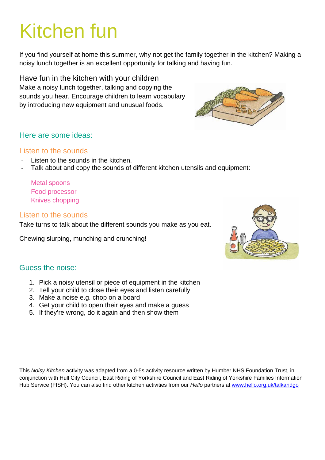### Kitchen fun

If you find yourself at home this summer, why not get the family together in the kitchen? Making a noisy lunch together is an excellent opportunity for talking and having fun.

Have fun in the kitchen with your children Make a noisy lunch together, talking and copying the sounds you hear. Encourage children to learn vocabulary by introducing new equipment and unusual foods.

#### Here are some ideas:

#### Listen to the sounds

- Listen to the sounds in the kitchen.
- Talk about and copy the sounds of different kitchen utensils and equipment:

Metal spoons Food processor Knives chopping

#### Listen to the sounds

Take turns to talk about the different sounds you make as you eat.

Chewing slurping, munching and crunching!



#### Guess the noise:

- 1. Pick a noisy utensil or piece of equipment in the kitchen
- 2. Tell your child to close their eyes and listen carefully
- 3. Make a noise e.g. chop on a board
- 4. Get your child to open their eyes and make a guess
- 5. If they're wrong, do it again and then show them

This *Noisy Kitchen* activity was adapted from a 0-5s activity resource written by Humber NHS Foundation Trust, in conjunction with Hull City Council, East Riding of Yorkshire Council and East Riding of Yorkshire Families Information Hub Service (FISH). You can also find other kitchen activities from our *Hello* partners at www.hello.org.uk/talkandgo

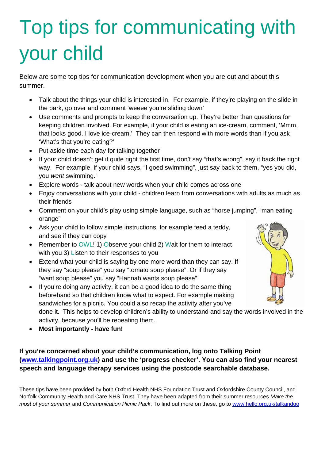# Top tips for communicating with your child

Below are some top tips for communication development when you are out and about this summer.

- Talk about the things your child is interested in. For example, if they're playing on the slide in the park, go over and comment 'weeee you're sliding down'
- Use comments and prompts to keep the conversation up. They're better than questions for keeping children involved. For example, if your child is eating an ice-cream, comment, 'Mmm, that looks good. I love ice-cream.' They can then respond with more words than if you ask 'What's that you're eating?'
- Put aside time each day for talking together
- If your child doesn't get it quite right the first time, don't say "that's wrong", say it back the right way. For example, if your child says, "I goed swimming", just say back to them, "yes you did, you *went* swimming.'
- Explore words talk about new words when your child comes across one
- Enjoy conversations with your child children learn from conversations with adults as much as their friends
- Comment on your child's play using simple language, such as "horse jumping", "man eating orange"
- Ask your child to follow simple instructions, for example feed a teddy, and see if they can copy
- Remember to OWL! 1) Observe your child 2) Wait for them to interact with you 3) Listen to their responses to you
- Extend what your child is saying by one more word than they can say. If they say "soup please" you say "tomato soup please". Or if they say "want soup please" you say "Hannah wants soup please"
- If you're doing any activity, it can be a good idea to do the same thing beforehand so that children know what to expect. For example making sandwiches for a picnic. You could also recap the activity after you've



done it. This helps to develop children's ability to understand and say the words involved in the activity, because you'll be repeating them.

• **Most importantly - have fun!**

#### **If you're concerned about your child's communication, log onto Talking Point (www.talkingpoint.org.uk) and use the 'progress checker'. You can also find your nearest speech and language therapy services using the postcode searchable database.**

These tips have been provided by both Oxford Health NHS Foundation Trust and Oxfordshire County Council, and Norfolk Community Health and Care NHS Trust. They have been adapted from their summer resources *Make the most of your summer* and *Communication Picnic Pack*. To find out more on these, go to www.hello.org.uk/talkandgo